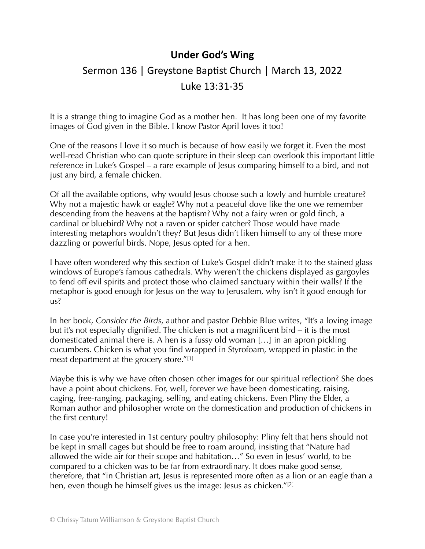## **Under God's Wing**

## Sermon 136 | Greystone Baptist Church | March 13, 2022 Luke 13:31-35

It is a strange thing to imagine God as a mother hen. It has long been one of my favorite images of God given in the Bible. I know Pastor April loves it too!

One of the reasons I love it so much is because of how easily we forget it. Even the most well-read Christian who can quote scripture in their sleep can overlook this important little reference in Luke's Gospel – a rare example of Jesus comparing himself to a bird, and not just any bird, a female chicken.

Of all the available options, why would Jesus choose such a lowly and humble creature? Why not a majestic hawk or eagle? Why not a peaceful dove like the one we remember descending from the heavens at the baptism? Why not a fairy wren or gold finch, a cardinal or bluebird? Why not a raven or spider catcher? Those would have made interesting metaphors wouldn't they? But Jesus didn't liken himself to any of these more dazzling or powerful birds. Nope, Jesus opted for a hen.

I have often wondered why this section of Luke's Gospel didn't make it to the stained glass windows of Europe's famous cathedrals. Why weren't the chickens displayed as gargoyles to fend off evil spirits and protect those who claimed sanctuary within their walls? If the metaphor is good enough for Jesus on the way to Jerusalem, why isn't it good enough for us?

In her book, *Consider the Birds*, author and pastor Debbie Blue writes, "It's a loving image but it's not especially dignified. The chicken is not a magnificent bird – it is the most domesticated animal there is. A hen is a fussy old woman […] in an apron pickling cucumbers. Chicken is what you find wrapped in Styrofoam, wrapped in plastic in the meat department at the grocery store."[1]

Maybe this is why we have often chosen other images for our spiritual reflection? She does have a point about chickens. For, well, forever we have been domesticating, raising, caging, free-ranging, packaging, selling, and eating chickens. Even Pliny the Elder, a Roman author and philosopher wrote on the domestication and production of chickens in the first century!

In case you're interested in 1st century poultry philosophy: Pliny felt that hens should not be kept in small cages but should be free to roam around, insisting that "Nature had allowed the wide air for their scope and habitation…" So even in Jesus' world, to be compared to a chicken was to be far from extraordinary. It does make good sense, therefore, that "in Christian art, Jesus is represented more often as a lion or an eagle than a hen, even though he himself gives us the image: Jesus as chicken."<sup>[2]</sup>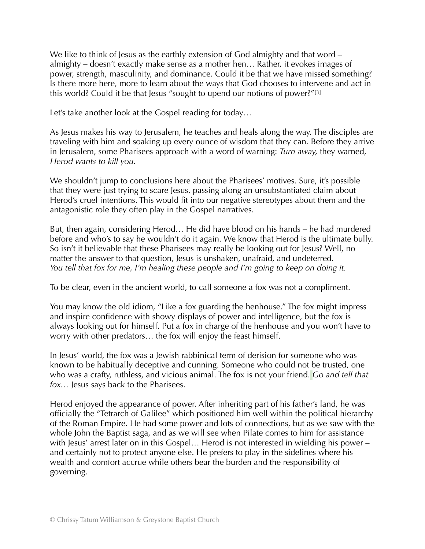We like to think of Jesus as the earthly extension of God almighty and that word – almighty – doesn't exactly make sense as a mother hen… Rather, it evokes images of power, strength, masculinity, and dominance. Could it be that we have missed something? Is there more here, more to learn about the ways that God chooses to intervene and act in this world? Could it be that Jesus "sought to upend our notions of power?"<sup>[3]</sup>

Let's take another look at the Gospel reading for today…

As Jesus makes his way to Jerusalem, he teaches and heals along the way. The disciples are traveling with him and soaking up every ounce of wisdom that they can. Before they arrive in Jerusalem, some Pharisees approach with a word of warning: *Turn away,* they warned, *Herod wants to kill you.* 

We shouldn't jump to conclusions here about the Pharisees' motives. Sure, it's possible that they were just trying to scare Jesus, passing along an unsubstantiated claim about Herod's cruel intentions. This would fit into our negative stereotypes about them and the antagonistic role they often play in the Gospel narratives.

But, then again, considering Herod… He did have blood on his hands – he had murdered before and who's to say he wouldn't do it again. We know that Herod is the ultimate bully. So isn't it believable that these Pharisees may really be looking out for Jesus? Well, no matter the answer to that question, Jesus is unshaken, unafraid, and undeterred. *You tell that fox for me, I'm healing these people and I'm going to keep on doing it.* 

To be clear, even in the ancient world, to call someone a fox was not a compliment.

You may know the old idiom, "Like a fox guarding the henhouse." The fox might impress and inspire confidence with showy displays of power and intelligence, but the fox is always looking out for himself. Put a fox in charge of the henhouse and you won't have to worry with other predators… the fox will enjoy the feast himself.

In Jesus' world, the fox was a Jewish rabbinical term of derision for someone who was known to be habitually deceptive and cunning. Someone who could not be trusted, one who was a crafty, ruthless, and vicious animal. The fox is not your friend. *Go and tell that fox...* Jesus says back to the Pharisees.

Herod enjoyed the appearance of power. After inheriting part of his father's land, he was officially the "Tetrarch of Galilee" which positioned him well within the political hierarchy of the Roman Empire. He had some power and lots of connections, but as we saw with the whole John the Baptist saga, and as we will see when Pilate comes to him for assistance with Jesus' arrest later on in this Gospel... Herod is not interested in wielding his power – and certainly not to protect anyone else. He prefers to play in the sidelines where his wealth and comfort accrue while others bear the burden and the responsibility of governing.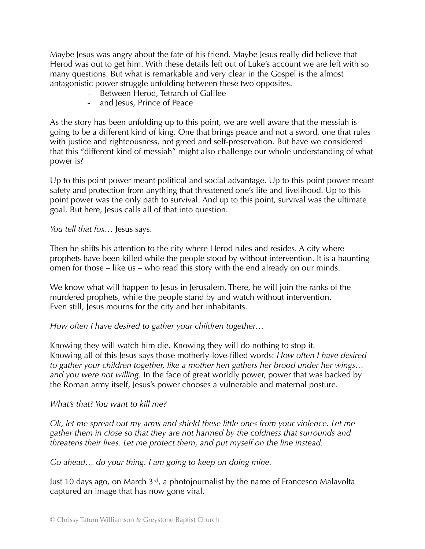Maybe Jesus was angry about the fate of his friend. Maybe Jesus really did believe that Herod was out to get him. With these details left out of Luke's account we are left with so many questions. But what is remarkable and very clear in the Gospel is the almost antagonistic power struggle unfolding between these two opposites.

- Between Herod, Tetrarch of Galilee
- and Jesus, Prince of Peace

As the story has been unfolding up to this point, we are well aware that the messiah is going to be a different kind of king. One that brings peace and not a sword, one that rules with justice and righteousness, not greed and self-preservation. But have we considered that this "different kind of messiah" might also challenge our whole understanding of what power is?

Up to this point power meant political and social advantage. Up to this point power meant safety and protection from anything that threatened one's life and livelihood. Up to this point power was the only path to survival. And up to this point, survival was the ultimate goal. But here, Jesus calls all of that into question.

*You tell that fox…* Jesus says.

Then he shifts his attention to the city where Herod rules and resides. A city where prophets have been killed while the people stood by without intervention. It is a haunting omen for those – like us – who read this story with the end already on our minds.

We know what will happen to Jesus in Jerusalem. There, he will join the ranks of the murdered prophets, while the people stand by and watch without intervention. Even still, Jesus mourns for the city and her inhabitants.

*How often I have desired to gather your children together…* 

Knowing they will watch him die. Knowing they will do nothing to stop it. Knowing all of this Jesus says those motherly-love-filled words: *How often I have desired to gather your children together, like a mother hen gathers her brood under her wings… and you were not willing.* In the face of great worldly power, power that was backed by the Roman army itself, Jesus's power chooses a vulnerable and maternal posture.

## *What's that? You want to kill me?*

*Ok, let me spread out my arms and shield these little ones from your violence. Let me gather them in close so that they are not harmed by the coldness that surrounds and threatens their lives. Let me protect them, and put myself on the line instead.* 

*Go ahead… do your thing. I am going to keep on doing mine.* 

Just 10 days ago, on March  $3<sup>rd</sup>$ , a photojournalist by the name of Francesco Malavolta captured an image that has now gone viral.